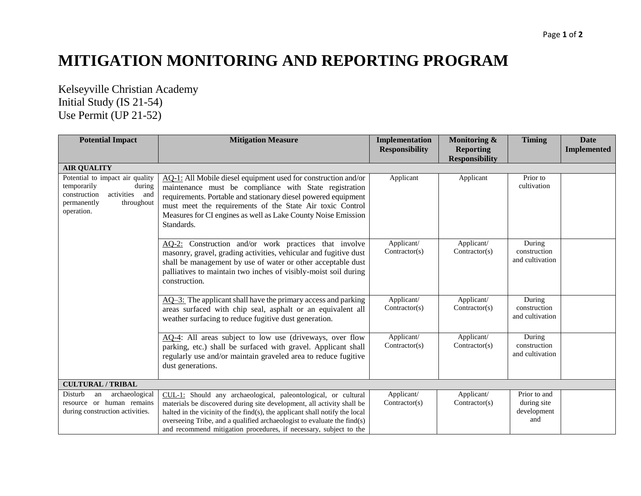## **MITIGATION MONITORING AND REPORTING PROGRAM**

Kelseyville Christian Academy Initial Study (IS 21-54) Use Permit (UP 21-52)

| <b>Potential Impact</b>                                                                                                               | <b>Mitigation Measure</b>                                                                                                                                                                                                                                                                                                                                               | Implementation<br><b>Responsibility</b> | Monitoring &<br><b>Reporting</b><br><b>Responsibility</b> | <b>Timing</b>                                     | <b>Date</b><br><b>Implemented</b> |
|---------------------------------------------------------------------------------------------------------------------------------------|-------------------------------------------------------------------------------------------------------------------------------------------------------------------------------------------------------------------------------------------------------------------------------------------------------------------------------------------------------------------------|-----------------------------------------|-----------------------------------------------------------|---------------------------------------------------|-----------------------------------|
| <b>AIR QUALITY</b>                                                                                                                    |                                                                                                                                                                                                                                                                                                                                                                         |                                         |                                                           |                                                   |                                   |
| Potential to impact air quality<br>temporarily<br>during<br>activities and<br>construction<br>throughout<br>permanently<br>operation. | AQ-1: All Mobile diesel equipment used for construction and/or<br>maintenance must be compliance with State registration<br>requirements. Portable and stationary diesel powered equipment<br>must meet the requirements of the State Air toxic Control<br>Measures for CI engines as well as Lake County Noise Emission<br>Standards.                                  | Applicant                               | Applicant                                                 | Prior to<br>cultivation                           |                                   |
|                                                                                                                                       | AQ-2: Construction and/or work practices that involve<br>masonry, gravel, grading activities, vehicular and fugitive dust<br>shall be management by use of water or other acceptable dust<br>palliatives to maintain two inches of visibly-moist soil during<br>construction.                                                                                           | Applicant/<br>Contractor(s)             | Applicant/<br>Contractor(s)                               | During<br>construction<br>and cultivation         |                                   |
|                                                                                                                                       | $\overline{AQ-3}$ : The applicant shall have the primary access and parking<br>areas surfaced with chip seal, asphalt or an equivalent all<br>weather surfacing to reduce fugitive dust generation.                                                                                                                                                                     | Applicant/<br>Contractor(s)             | Applicant/<br>Contractor(s)                               | During<br>construction<br>and cultivation         |                                   |
|                                                                                                                                       | AQ-4: All areas subject to low use (driveways, over flow<br>parking, etc.) shall be surfaced with gravel. Applicant shall<br>regularly use and/or maintain graveled area to reduce fugitive<br>dust generations.                                                                                                                                                        | Applicant/<br>Contractor(s)             | Applicant/<br>Contractor(s)                               | During<br>construction<br>and cultivation         |                                   |
| <b>CULTURAL / TRIBAL</b>                                                                                                              |                                                                                                                                                                                                                                                                                                                                                                         |                                         |                                                           |                                                   |                                   |
| archaeological<br>Disturb<br>an<br>resource or human remains<br>during construction activities.                                       | CUL-1: Should any archaeological, paleontological, or cultural<br>materials be discovered during site development, all activity shall be<br>halted in the vicinity of the find(s), the applicant shall notify the local<br>overseeing Tribe, and a qualified archaeologist to evaluate the find(s)<br>and recommend mitigation procedures, if necessary, subject to the | Applicant/<br>Contractor(s)             | Applicant/<br>Contractor(s)                               | Prior to and<br>during site<br>development<br>and |                                   |